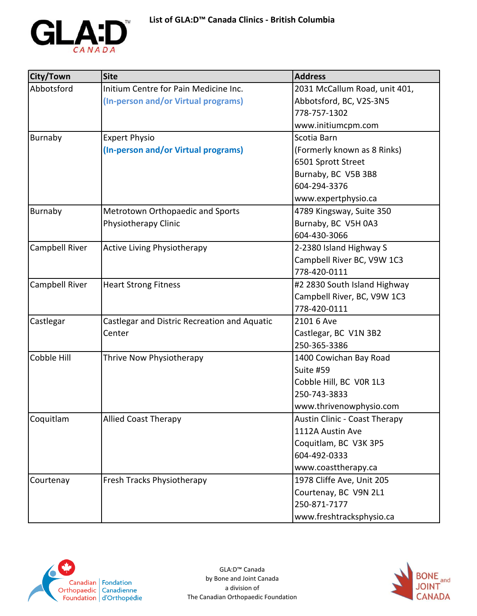

| City/Town      | <b>Site</b>                                  | <b>Address</b>                       |
|----------------|----------------------------------------------|--------------------------------------|
| Abbotsford     | Initium Centre for Pain Medicine Inc.        | 2031 McCallum Road, unit 401,        |
|                | (In-person and/or Virtual programs)          | Abbotsford, BC, V2S-3N5              |
|                |                                              | 778-757-1302                         |
|                |                                              | www.initiumcpm.com                   |
| <b>Burnaby</b> | <b>Expert Physio</b>                         | Scotia Barn                          |
|                | (In-person and/or Virtual programs)          | (Formerly known as 8 Rinks)          |
|                |                                              | 6501 Sprott Street                   |
|                |                                              | Burnaby, BC V5B 3B8                  |
|                |                                              | 604-294-3376                         |
|                |                                              | www.expertphysio.ca                  |
| Burnaby        | Metrotown Orthopaedic and Sports             | 4789 Kingsway, Suite 350             |
|                | Physiotherapy Clinic                         | Burnaby, BC V5H 0A3                  |
|                |                                              | 604-430-3066                         |
| Campbell River | <b>Active Living Physiotherapy</b>           | 2-2380 Island Highway S              |
|                |                                              | Campbell River BC, V9W 1C3           |
|                |                                              | 778-420-0111                         |
| Campbell River | <b>Heart Strong Fitness</b>                  | #2 2830 South Island Highway         |
|                |                                              | Campbell River, BC, V9W 1C3          |
|                |                                              | 778-420-0111                         |
| Castlegar      | Castlegar and Distric Recreation and Aquatic | 2101 6 Ave                           |
|                | Center                                       | Castlegar, BC V1N 3B2                |
|                |                                              | 250-365-3386                         |
| Cobble Hill    | Thrive Now Physiotherapy                     | 1400 Cowichan Bay Road               |
|                |                                              | Suite #59                            |
|                |                                              | Cobble Hill, BC VOR 1L3              |
|                |                                              | 250-743-3833                         |
|                |                                              | www.thrivenowphysio.com              |
| Coquitlam      | Allied Coast Therapy                         | <b>Austin Clinic - Coast Therapy</b> |
|                |                                              | 1112A Austin Ave                     |
|                |                                              | Coquitlam, BC V3K 3P5                |
|                |                                              | 604-492-0333                         |
|                |                                              | www.coasttherapy.ca                  |
| Courtenay      | Fresh Tracks Physiotherapy                   | 1978 Cliffe Ave, Unit 205            |
|                |                                              | Courtenay, BC V9N 2L1                |
|                |                                              | 250-871-7177                         |
|                |                                              | www.freshtracksphysio.ca             |



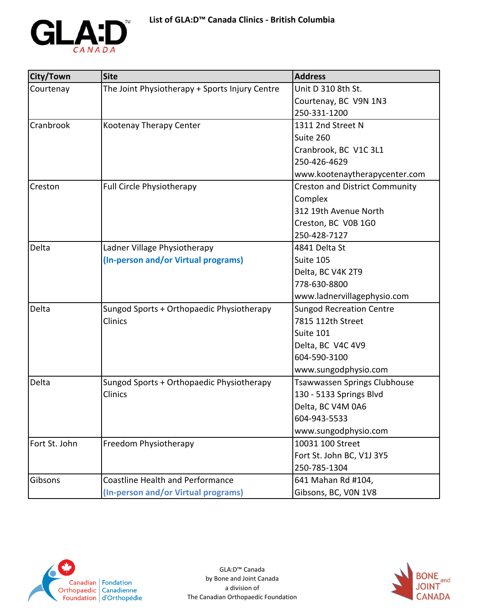

| City/Town     | <b>Site</b>                                    | <b>Address</b>                        |
|---------------|------------------------------------------------|---------------------------------------|
| Courtenay     | The Joint Physiotherapy + Sports Injury Centre | Unit D 310 8th St.                    |
|               |                                                | Courtenay, BC V9N 1N3                 |
|               |                                                | 250-331-1200                          |
| Cranbrook     | Kootenay Therapy Center                        | 1311 2nd Street N                     |
|               |                                                | Suite 260                             |
|               |                                                | Cranbrook, BC V1C 3L1                 |
|               |                                                | 250-426-4629                          |
|               |                                                | www.kootenaytherapycenter.com         |
| Creston       | <b>Full Circle Physiotherapy</b>               | <b>Creston and District Community</b> |
|               |                                                | Complex                               |
|               |                                                | 312 19th Avenue North                 |
|               |                                                | Creston, BC V0B 1G0                   |
|               |                                                | 250-428-7127                          |
| Delta         | Ladner Village Physiotherapy                   | 4841 Delta St                         |
|               | (In-person and/or Virtual programs)            | Suite 105                             |
|               |                                                | Delta, BC V4K 2T9                     |
|               |                                                | 778-630-8800                          |
|               |                                                | www.ladnervillagephysio.com           |
| Delta         | Sungod Sports + Orthopaedic Physiotherapy      | <b>Sungod Recreation Centre</b>       |
|               | Clinics                                        | 7815 112th Street                     |
|               |                                                | Suite 101                             |
|               |                                                | Delta, BC V4C 4V9                     |
|               |                                                | 604-590-3100                          |
|               |                                                | www.sungodphysio.com                  |
| Delta         | Sungod Sports + Orthopaedic Physiotherapy      | <b>Tsawwassen Springs Clubhouse</b>   |
|               | Clinics                                        | 130 - 5133 Springs Blvd               |
|               |                                                | Delta, BC V4M 0A6                     |
|               |                                                | 604-943-5533                          |
|               |                                                | www.sungodphysio.com                  |
| Fort St. John | Freedom Physiotherapy                          | 10031 100 Street                      |
|               |                                                | Fort St. John BC, V1J 3Y5             |
|               |                                                | 250-785-1304                          |
| Gibsons       | <b>Coastline Health and Performance</b>        | 641 Mahan Rd #104,                    |
|               | (In-person and/or Virtual programs)            | Gibsons, BC, VON 1V8                  |



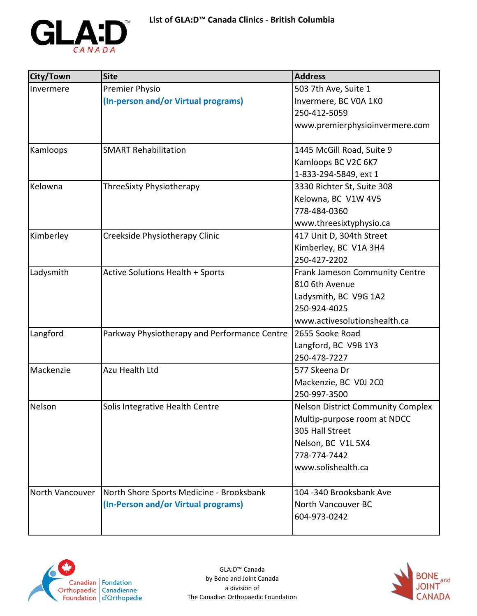

| City/Town       | <b>Site</b>                                  | <b>Address</b>                           |
|-----------------|----------------------------------------------|------------------------------------------|
| Invermere       | Premier Physio                               | 503 7th Ave, Suite 1                     |
|                 | (In-person and/or Virtual programs)          | Invermere, BC V0A 1K0                    |
|                 |                                              | 250-412-5059                             |
|                 |                                              | www.premierphysioinvermere.com           |
| Kamloops        | <b>SMART Rehabilitation</b>                  | 1445 McGill Road, Suite 9                |
|                 |                                              | Kamloops BC V2C 6K7                      |
|                 |                                              | 1-833-294-5849, ext 1                    |
| Kelowna         | ThreeSixty Physiotherapy                     | 3330 Richter St, Suite 308               |
|                 |                                              | Kelowna, BC V1W 4V5                      |
|                 |                                              | 778-484-0360                             |
|                 |                                              | www.threesixtyphysio.ca                  |
| Kimberley       | Creekside Physiotherapy Clinic               | 417 Unit D, 304th Street                 |
|                 |                                              | Kimberley, BC V1A 3H4                    |
|                 |                                              | 250-427-2202                             |
| Ladysmith       | <b>Active Solutions Health + Sports</b>      | Frank Jameson Community Centre           |
|                 |                                              | 810 6th Avenue                           |
|                 |                                              | Ladysmith, BC V9G 1A2                    |
|                 |                                              | 250-924-4025                             |
|                 |                                              | www.activesolutionshealth.ca             |
| Langford        | Parkway Physiotherapy and Performance Centre | 2655 Sooke Road                          |
|                 |                                              | Langford, BC V9B 1Y3                     |
|                 |                                              | 250-478-7227                             |
| Mackenzie       | Azu Health Ltd                               | 577 Skeena Dr                            |
|                 |                                              | Mackenzie, BC V0J 2C0                    |
|                 |                                              | 250-997-3500                             |
| Nelson          | Solis Integrative Health Centre              | <b>Nelson District Community Complex</b> |
|                 |                                              | Multip-purpose room at NDCC              |
|                 |                                              | 305 Hall Street                          |
|                 |                                              | Nelson, BC V1L 5X4                       |
|                 |                                              | 778-774-7442                             |
|                 |                                              | www.solishealth.ca                       |
| North Vancouver | North Shore Sports Medicine - Brooksbank     | 104 -340 Brooksbank Ave                  |
|                 | (In-Person and/or Virtual programs)          | North Vancouver BC                       |
|                 |                                              | 604-973-0242                             |
|                 |                                              |                                          |



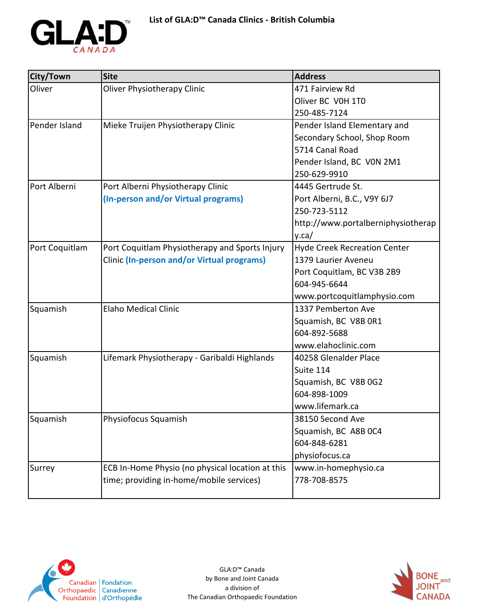

| City/Town      | <b>Site</b>                                       | <b>Address</b>                      |
|----------------|---------------------------------------------------|-------------------------------------|
| Oliver         | Oliver Physiotherapy Clinic                       | 471 Fairview Rd                     |
|                |                                                   | Oliver BC V0H 1T0                   |
|                |                                                   | 250-485-7124                        |
| Pender Island  | Mieke Truijen Physiotherapy Clinic                | Pender Island Elementary and        |
|                |                                                   | Secondary School, Shop Room         |
|                |                                                   | 5714 Canal Road                     |
|                |                                                   | Pender Island, BC VON 2M1           |
|                |                                                   | 250-629-9910                        |
| Port Alberni   | Port Alberni Physiotherapy Clinic                 | 4445 Gertrude St.                   |
|                | (In-person and/or Virtual programs)               | Port Alberni, B.C., V9Y 6J7         |
|                |                                                   | 250-723-5112                        |
|                |                                                   | http://www.portalberniphysiotherap  |
|                |                                                   | y.ca/                               |
| Port Coquitlam | Port Coquitlam Physiotherapy and Sports Injury    | <b>Hyde Creek Recreation Center</b> |
|                | <b>Clinic (In-person and/or Virtual programs)</b> | 1379 Laurier Aveneu                 |
|                |                                                   | Port Coquitlam, BC V3B 2B9          |
|                |                                                   | 604-945-6644                        |
|                |                                                   | www.portcoquitlamphysio.com         |
| Squamish       | <b>Elaho Medical Clinic</b>                       | 1337 Pemberton Ave                  |
|                |                                                   | Squamish, BC V8B 0R1                |
|                |                                                   | 604-892-5688                        |
|                |                                                   | www.elahoclinic.com                 |
| Squamish       | Lifemark Physiotherapy - Garibaldi Highlands      | 40258 Glenalder Place               |
|                |                                                   | Suite 114                           |
|                |                                                   | Squamish, BC V8B 0G2                |
|                |                                                   | 604-898-1009                        |
|                |                                                   | www.lifemark.ca                     |
| Squamish       | Physiofocus Squamish                              | 38150 Second Ave                    |
|                |                                                   | Squamish, BC A8B 0C4                |
|                |                                                   | 604-848-6281                        |
|                |                                                   | physiofocus.ca                      |
| Surrey         | ECB In-Home Physio (no physical location at this  | www.in-homephysio.ca                |
|                | time; providing in-home/mobile services)          | 778-708-8575                        |
|                |                                                   |                                     |



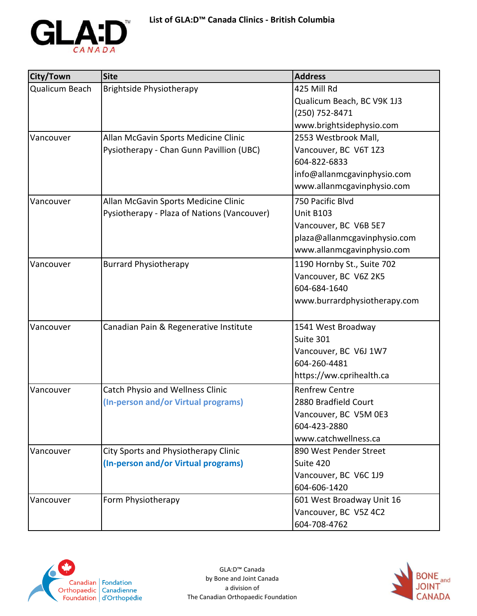

| City/Town      | <b>Site</b>                                 | <b>Address</b>               |
|----------------|---------------------------------------------|------------------------------|
| Qualicum Beach | Brightside Physiotherapy                    | 425 Mill Rd                  |
|                |                                             | Qualicum Beach, BC V9K 1J3   |
|                |                                             | (250) 752-8471               |
|                |                                             | www.brightsidephysio.com     |
| Vancouver      | Allan McGavin Sports Medicine Clinic        | 2553 Westbrook Mall,         |
|                | Pysiotherapy - Chan Gunn Pavillion (UBC)    | Vancouver, BC V6T 1Z3        |
|                |                                             | 604-822-6833                 |
|                |                                             | info@allanmcgavinphysio.com  |
|                |                                             | www.allanmcgavinphysio.com   |
| Vancouver      | Allan McGavin Sports Medicine Clinic        | 750 Pacific Blvd             |
|                | Pysiotherapy - Plaza of Nations (Vancouver) | <b>Unit B103</b>             |
|                |                                             | Vancouver, BC V6B 5E7        |
|                |                                             | plaza@allanmcgavinphysio.com |
|                |                                             | www.allanmcgavinphysio.com   |
| Vancouver      | <b>Burrard Physiotherapy</b>                | 1190 Hornby St., Suite 702   |
|                |                                             | Vancouver, BC V6Z 2K5        |
|                |                                             | 604-684-1640                 |
|                |                                             | www.burrardphysiotherapy.com |
|                |                                             |                              |
| Vancouver      | Canadian Pain & Regenerative Institute      | 1541 West Broadway           |
|                |                                             | Suite 301                    |
|                |                                             | Vancouver, BC V6J 1W7        |
|                |                                             | 604-260-4481                 |
|                |                                             | https://ww.cprihealth.ca     |
| Vancouver      | <b>Catch Physio and Wellness Clinic</b>     | <b>Renfrew Centre</b>        |
|                | (In-person and/or Virtual programs)         | 2880 Bradfield Court         |
|                |                                             | Vancouver, BC V5M 0E3        |
|                |                                             | 604-423-2880                 |
|                |                                             | www.catchwellness.ca         |
| Vancouver      | City Sports and Physiotherapy Clinic        | 890 West Pender Street       |
|                | (In-person and/or Virtual programs)         | Suite 420                    |
|                |                                             | Vancouver, BC V6C 1J9        |
|                |                                             | 604-606-1420                 |
| Vancouver      | Form Physiotherapy                          | 601 West Broadway Unit 16    |
|                |                                             | Vancouver, BC V5Z 4C2        |
|                |                                             | 604-708-4762                 |



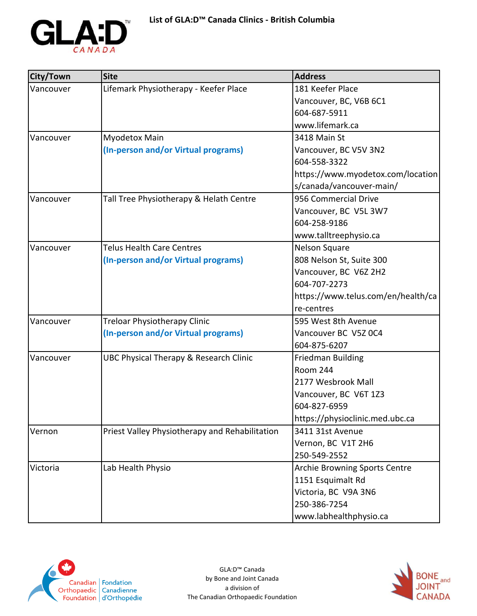

| City/Town | <b>Site</b>                                    | <b>Address</b>                     |
|-----------|------------------------------------------------|------------------------------------|
| Vancouver | Lifemark Physiotherapy - Keefer Place          | 181 Keefer Place                   |
|           |                                                | Vancouver, BC, V6B 6C1             |
|           |                                                | 604-687-5911                       |
|           |                                                | www.lifemark.ca                    |
| Vancouver | Myodetox Main                                  | 3418 Main St                       |
|           | (In-person and/or Virtual programs)            | Vancouver, BC V5V 3N2              |
|           |                                                | 604-558-3322                       |
|           |                                                | https://www.myodetox.com/location  |
|           |                                                | s/canada/vancouver-main/           |
| Vancouver | Tall Tree Physiotherapy & Helath Centre        | 956 Commercial Drive               |
|           |                                                | Vancouver, BC V5L 3W7              |
|           |                                                | 604-258-9186                       |
|           |                                                | www.talltreephysio.ca              |
| Vancouver | <b>Telus Health Care Centres</b>               | Nelson Square                      |
|           | (In-person and/or Virtual programs)            | 808 Nelson St, Suite 300           |
|           |                                                | Vancouver, BC V6Z 2H2              |
|           |                                                | 604-707-2273                       |
|           |                                                | https://www.telus.com/en/health/ca |
|           |                                                | re-centres                         |
| Vancouver | Treloar Physiotherapy Clinic                   | 595 West 8th Avenue                |
|           | (In-person and/or Virtual programs)            | Vancouver BC V5Z 0C4               |
|           |                                                | 604-875-6207                       |
| Vancouver | UBC Physical Therapy & Research Clinic         | <b>Friedman Building</b>           |
|           |                                                | Room 244                           |
|           |                                                | 2177 Wesbrook Mall                 |
|           |                                                | Vancouver, BC V6T 1Z3              |
|           |                                                | 604-827-6959                       |
|           |                                                | https://physioclinic.med.ubc.ca    |
| Vernon    | Priest Valley Physiotherapy and Rehabilitation | 3411 31st Avenue                   |
|           |                                                | Vernon, BC V1T 2H6                 |
|           |                                                | 250-549-2552                       |
| Victoria  | Lab Health Physio                              | Archie Browning Sports Centre      |
|           |                                                | 1151 Esquimalt Rd                  |
|           |                                                | Victoria, BC V9A 3N6               |
|           |                                                | 250-386-7254                       |
|           |                                                | www.labhealthphysio.ca             |